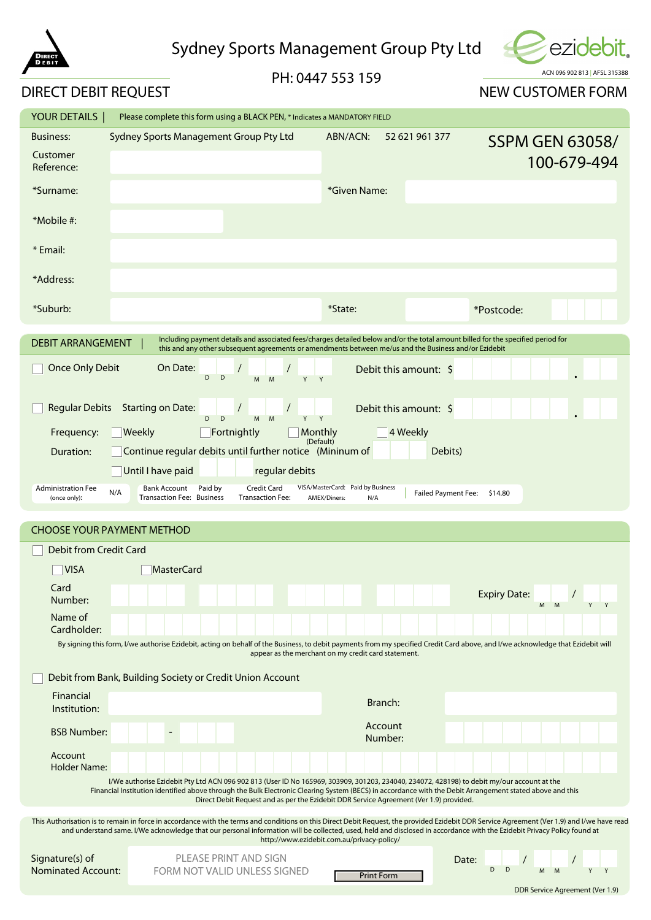# Sydney Sports Management Group Pty Ltd



PH: 0447 553 159

|                                                                                                                                                                                                                                                                       | <b>DIRECT DEBIT REQUEST</b>                                                                                                                                                                                                                                                                                                                                            |                                                                                        | <b>NEW CUSTOMER FORM</b>                                 |
|-----------------------------------------------------------------------------------------------------------------------------------------------------------------------------------------------------------------------------------------------------------------------|------------------------------------------------------------------------------------------------------------------------------------------------------------------------------------------------------------------------------------------------------------------------------------------------------------------------------------------------------------------------|----------------------------------------------------------------------------------------|----------------------------------------------------------|
| YOUR DETAILS  <br>Please complete this form using a BLACK PEN, * Indicates a MANDATORY FIELD                                                                                                                                                                          |                                                                                                                                                                                                                                                                                                                                                                        |                                                                                        |                                                          |
| <b>Business:</b><br>Customer<br>Reference:                                                                                                                                                                                                                            | Sydney Sports Management Group Pty Ltd                                                                                                                                                                                                                                                                                                                                 | ABN/ACN:<br>52 621 961 377                                                             | <b>SSPM GEN 63058/</b><br>100-679-494                    |
| *Surname:                                                                                                                                                                                                                                                             |                                                                                                                                                                                                                                                                                                                                                                        | *Given Name:                                                                           |                                                          |
| *Mobile #:                                                                                                                                                                                                                                                            |                                                                                                                                                                                                                                                                                                                                                                        |                                                                                        |                                                          |
| * Email:                                                                                                                                                                                                                                                              |                                                                                                                                                                                                                                                                                                                                                                        |                                                                                        |                                                          |
| *Address:                                                                                                                                                                                                                                                             |                                                                                                                                                                                                                                                                                                                                                                        |                                                                                        |                                                          |
| *Suburb:                                                                                                                                                                                                                                                              |                                                                                                                                                                                                                                                                                                                                                                        | *State:                                                                                | *Postcode:                                               |
| Including payment details and associated fees/charges detailed below and/or the total amount billed for the specified period for<br><b>DEBIT ARRANGEMENT</b><br>this and any other subsequent agreements or amendments between me/us and the Business and/or Ezidebit |                                                                                                                                                                                                                                                                                                                                                                        |                                                                                        |                                                          |
| <b>Once Only Debit</b>                                                                                                                                                                                                                                                | On Date:<br>D<br>D<br>$M$ $M$<br>Y                                                                                                                                                                                                                                                                                                                                     | Debit this amount: \$                                                                  |                                                          |
|                                                                                                                                                                                                                                                                       | Regular Debits Starting on Date:                                                                                                                                                                                                                                                                                                                                       | Debit this amount: \$                                                                  |                                                          |
| Frequency:                                                                                                                                                                                                                                                            | D.<br>D<br>$M$ $M$<br>$Y$ $Y$<br><b>Weekly</b><br>Fortnightly<br>Monthly                                                                                                                                                                                                                                                                                               | 4 Weekly                                                                               |                                                          |
| Duration:                                                                                                                                                                                                                                                             | (Default)<br>Continue regular debits until further notice (Mininum of                                                                                                                                                                                                                                                                                                  | Debits)                                                                                |                                                          |
|                                                                                                                                                                                                                                                                       | Until I have paid<br>regular debits                                                                                                                                                                                                                                                                                                                                    |                                                                                        |                                                          |
| <b>Administration Fee</b><br>(once only):                                                                                                                                                                                                                             | Credit Card<br>Bank Account Paid by<br>N/A<br><b>Transaction Fee: Business</b><br><b>Transaction Fee:</b>                                                                                                                                                                                                                                                              | VISA/MasterCard: Paid by Business<br>AMEX/Diners:<br>N/A                               | Failed Payment Fee: \$14.80                              |
|                                                                                                                                                                                                                                                                       | <b>CHOOSE YOUR PAYMENT METHOD</b>                                                                                                                                                                                                                                                                                                                                      |                                                                                        |                                                          |
| <b>Debit from Credit Card</b>                                                                                                                                                                                                                                         |                                                                                                                                                                                                                                                                                                                                                                        |                                                                                        |                                                          |
|                                                                                                                                                                                                                                                                       |                                                                                                                                                                                                                                                                                                                                                                        |                                                                                        |                                                          |
|                                                                                                                                                                                                                                                                       | MasterCard                                                                                                                                                                                                                                                                                                                                                             |                                                                                        |                                                          |
| $\Box$ VISA<br>Card<br>Number:                                                                                                                                                                                                                                        |                                                                                                                                                                                                                                                                                                                                                                        |                                                                                        | <b>Expiry Date:</b><br>M<br>M                            |
| Name of<br>Cardholder:                                                                                                                                                                                                                                                |                                                                                                                                                                                                                                                                                                                                                                        |                                                                                        |                                                          |
|                                                                                                                                                                                                                                                                       | By signing this form, I/we authorise Ezidebit, acting on behalf of the Business, to debit payments from my specified Credit Card above, and I/we acknowledge that Ezidebit will                                                                                                                                                                                        | appear as the merchant on my credit card statement.                                    |                                                          |
|                                                                                                                                                                                                                                                                       | Debit from Bank, Building Society or Credit Union Account                                                                                                                                                                                                                                                                                                              |                                                                                        |                                                          |
| Financial<br>Institution:                                                                                                                                                                                                                                             |                                                                                                                                                                                                                                                                                                                                                                        | Branch:                                                                                |                                                          |
| <b>BSB Number:</b>                                                                                                                                                                                                                                                    |                                                                                                                                                                                                                                                                                                                                                                        | Account<br>Number:                                                                     |                                                          |
| Account<br><b>Holder Name:</b>                                                                                                                                                                                                                                        |                                                                                                                                                                                                                                                                                                                                                                        |                                                                                        |                                                          |
|                                                                                                                                                                                                                                                                       | I/We authorise Ezidebit Pty Ltd ACN 096 902 813 (User ID No 165969, 303909, 301203, 234040, 234072, 428198) to debit my/our account at the<br>Financial Institution identified above through the Bulk Electronic Clearing System (BECS) in accordance with the Debit Arrangement stated above and this                                                                 | Direct Debit Request and as per the Ezidebit DDR Service Agreement (Ver 1.9) provided. |                                                          |
|                                                                                                                                                                                                                                                                       | This Authorisation is to remain in force in accordance with the terms and conditions on this Direct Debit Request, the provided Ezidebit DDR Service Agreement (Ver 1.9) and I/we have read<br>and understand same. I/We acknowledge that our personal information will be collected, used, held and disclosed in accordance with the Ezidebit Privacy Policy found at | http://www.ezidebit.com.au/privacy-policy/                                             |                                                          |
| Signature(s) of                                                                                                                                                                                                                                                       | PLEASE PRINT AND SIGN                                                                                                                                                                                                                                                                                                                                                  |                                                                                        | Date:                                                    |
| <b>Nominated Account:</b>                                                                                                                                                                                                                                             | FORM NOT VALID UNLESS SIGNED                                                                                                                                                                                                                                                                                                                                           | Print Form                                                                             | D<br>D<br>M<br>Y<br>M<br>DDR Service Agreement (Ver 1.9) |